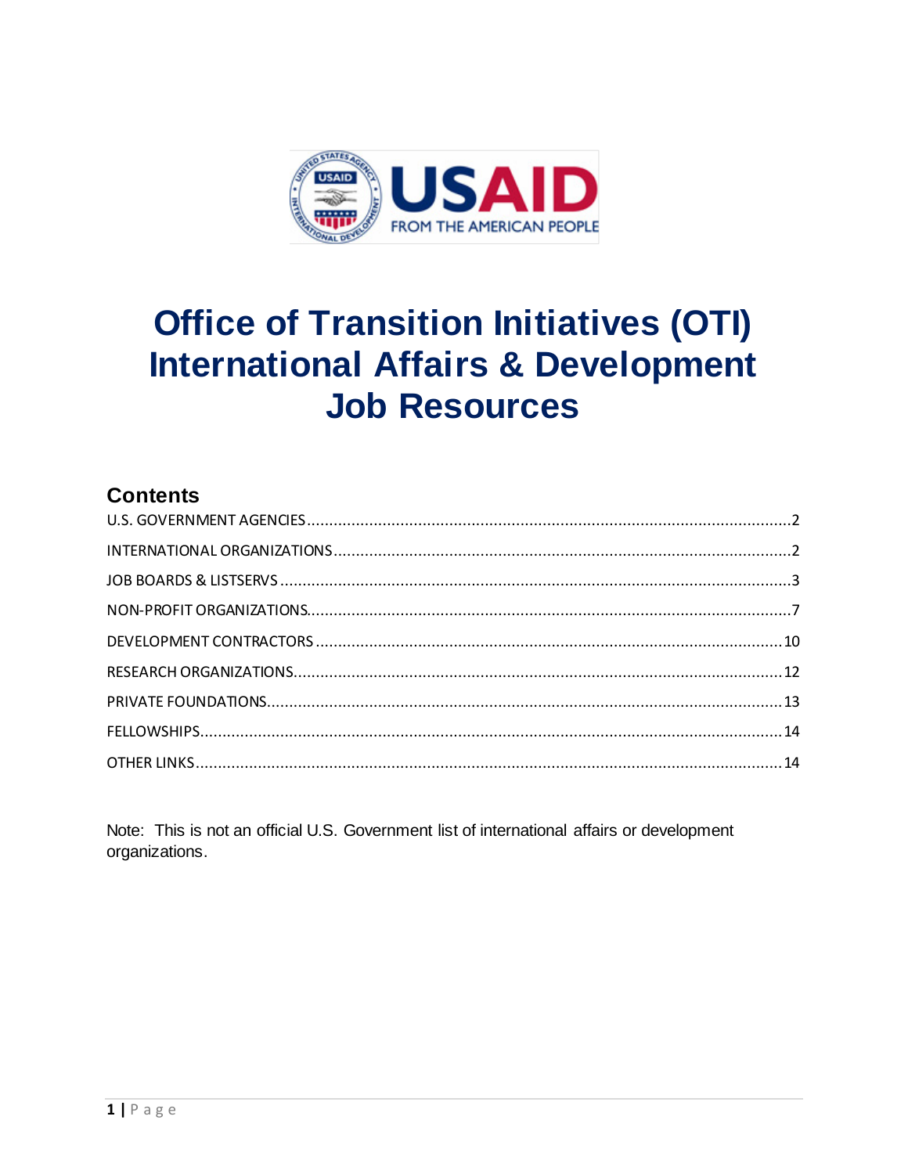

# **Office of Transition Initiatives (OTI) International Affairs & Development Job Resources**

# **Contents**

Note: This is not an official U.S. Government list of international affairs or development organizations.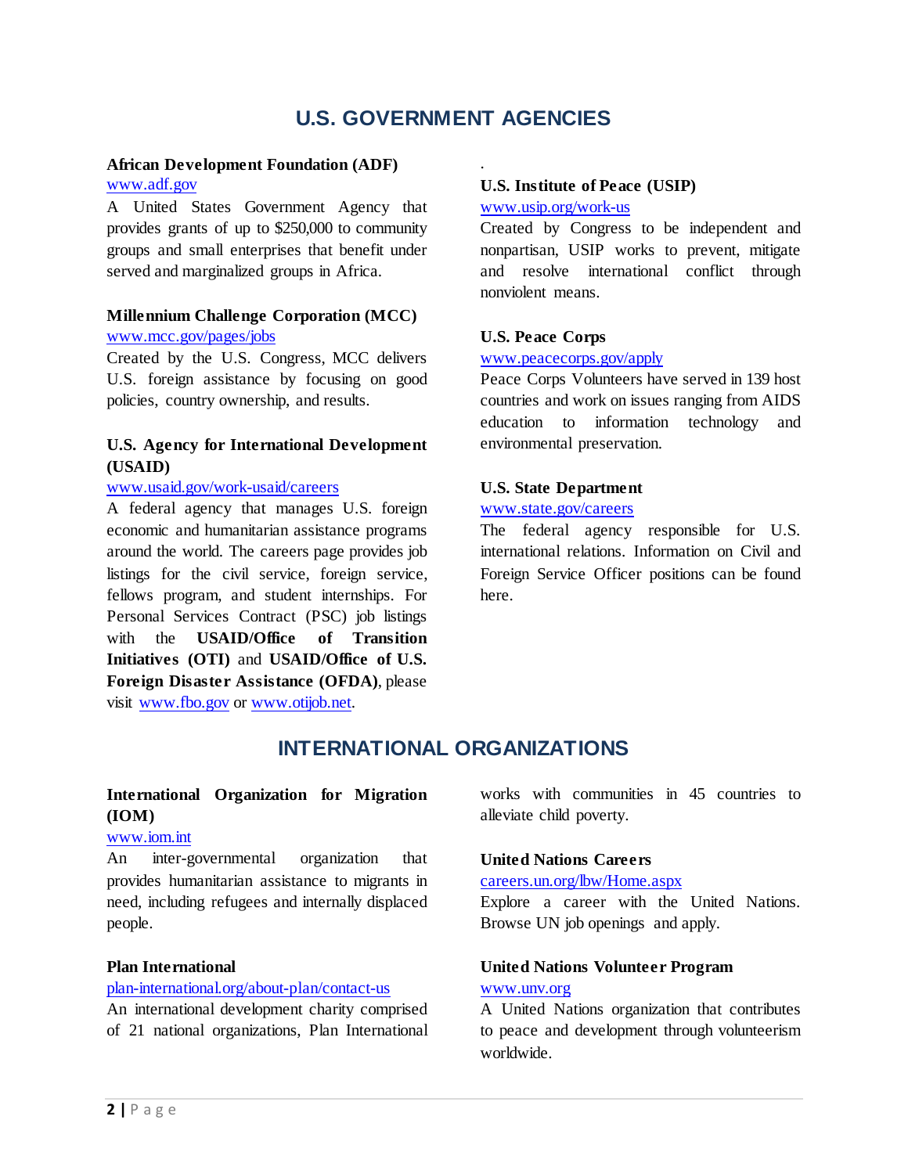# **U.S. GOVERNMENT AGENCIES**

.

#### <span id="page-1-0"></span>**African Development Foundation (ADF)**

#### [www.adf.gov](http://www.adf.gov/)

A United States Government Agency that provides grants of up to \$250,000 to community groups and small enterprises that benefit under served and marginalized groups in Africa.

#### **Millennium Challenge Corporation (MCC)** [www.mcc.gov/pages/jobs](http://www.mcc.gov/pages/jobs)

Created by the U.S. Congress, MCC delivers U.S. foreign assistance by focusing on good policies, country ownership, and results.

### **U.S. Agency for International Development (USAID)**

#### [www.usaid.gov/work-usaid/careers](http://www.usaid.gov/work-usaid/careers)

A federal agency that manages U.S. foreign economic and humanitarian assistance programs around the world. The careers page provides job listings for the civil service, foreign service, fellows program, and student internships. For Personal Services Contract (PSC) job listings with the **USAID/Office of Transition Initiatives (OTI)** and **USAID/Office of U.S. Foreign Disaster Assistance (OFDA)**, please visit [www.fbo.gov](http://www.fbo.gov/) or [www.otijob.net.](http://www.otijob.net/)

### **U.S. Institute of Peace (USIP)**

#### [www.usip.org/work-us](http://www.usip.org/work-us)

Created by Congress to be independent and nonpartisan, USIP works to prevent, mitigate and resolve international conflict through nonviolent means.

### **U.S. Peace Corps**

#### [www.peacecorps.gov/apply](http://www.peacecorps.gov/apply)

Peace Corps Volunteers have served in 139 host countries and work on issues ranging from AIDS education to information technology and environmental preservation.

#### **U.S. State Department**

#### [www.state.gov/careers](http://www.state.gov/careers)

The federal agency responsible for U.S. international relations. Information on Civil and Foreign Service Officer positions can be found here.

# **INTERNATIONAL ORGANIZATIONS**

### <span id="page-1-1"></span>**International Organization for Migration (IOM)**

#### [www.iom.int](http://www.iom.int/)

An inter-governmental organization that provides humanitarian assistance to migrants in need, including refugees and internally displaced people.

#### **Plan International**

#### [plan-international.org/about-plan/contact-us](http://plan-international.org/about-plan/contact-us)

An international development charity comprised of 21 national organizations, Plan International works with communities in 45 countries to alleviate child poverty.

### **United Nations Careers**

### [careers.un.org/lbw/Home.aspx](https://careers.un.org/lbw/Home.aspx)

Explore a career with the United Nations. Browse UN job openings and apply.

### **United Nations Volunteer Program** [www.unv.org](http://www.unv.org/)

A United Nations organization that contributes to peace and development through volunteerism worldwide.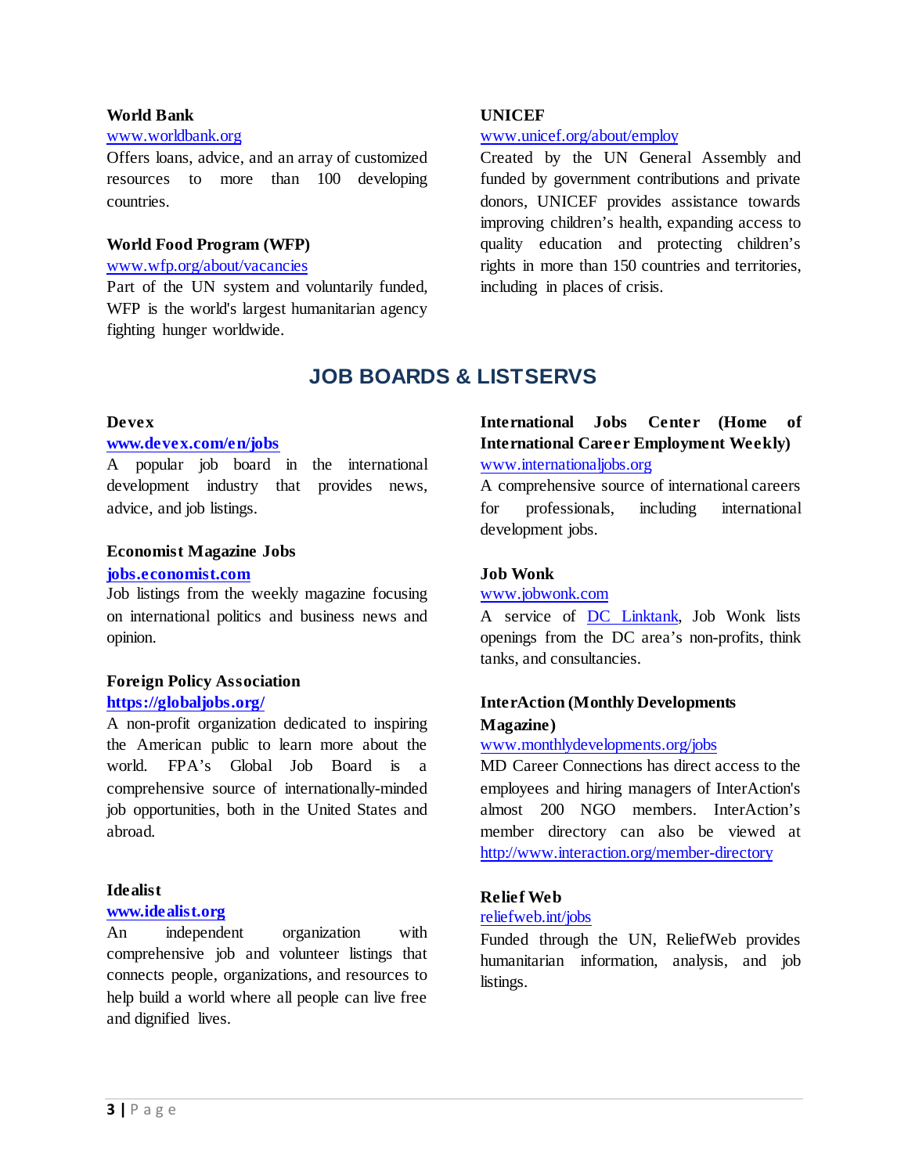#### **World Bank**

#### [www.worldbank.org](http://www.worldbank.org/)

Offers loans, advice, and an array of customized resources to more than 100 developing countries.

#### **World Food Program (WFP)**

#### [www.wfp.org/about/vacancies](http://www.wfp.org/about/vacancies)

<span id="page-2-0"></span>Part of the UN system and voluntarily funded, WFP is the world's largest humanitarian agency fighting hunger worldwide.

#### **UNICEF**

#### [www.unicef.org/about/employ](http://www.unicef.org/about/employ)

Created by the UN General Assembly and funded by government contributions and private donors, UNICEF provides assistance towards improving children's health, expanding access to quality education and protecting children's rights in more than 150 countries and territories, including in places of crisis.

# **JOB BOARDS & LISTSERVS**

#### **Devex**

#### **[www.devex.com/en/jobs](http://www.devex.com/en/jobs)**

A popular job board in the international development industry that provides news, advice, and job listings.

#### **Economist Magazine Jobs**

#### **[jobs.economist.com](http://jobs.economist.com/)**

Job listings from the weekly magazine focusing on international politics and business news and opinion.

#### **Foreign Policy Association <https://globaljobs.org/>**

A non-profit organization dedicated to inspiring the American public to learn more about the world. FPA's Global Job Board is a comprehensive source of internationally-minded job opportunities, both in the United States and abroad.

#### **Idealist**

#### **[www.idealist.org](http://www.idealist.org/)**

An independent organization with comprehensive job and volunteer listings that connects people, organizations, and resources to help build a world where all people can live free and dignified lives.

### **International Jobs Center (Home of International Career Employment Weekly)** [www.internationaljobs.org](http://www.internationaljobs.org/)

A comprehensive source of international careers for professionals, including international development jobs.

#### **Job Wonk**

#### [www.jobwonk.com](http://www.jobwonk.com/)

A service of [DC Linktank,](http://dc.linktank.com/) Job Wonk lists openings from the DC area's non-profits, think tanks, and consultancies.

### **InterAction (Monthly Developments Magazine)**

#### [www.monthlydevelopments.org/jobs](http://www.monthlydevelopments.org/jobs)

MD Career Connections has direct access to the employees and hiring managers of InterAction's almost 200 NGO members. InterAction's member directory can also be viewed at <http://www.interaction.org/member-directory>

### **Relief Web**

#### [reliefweb.int/jobs](http://reliefweb.int/jobs)

Funded through the UN, ReliefWeb provides humanitarian information, analysis, and job listings.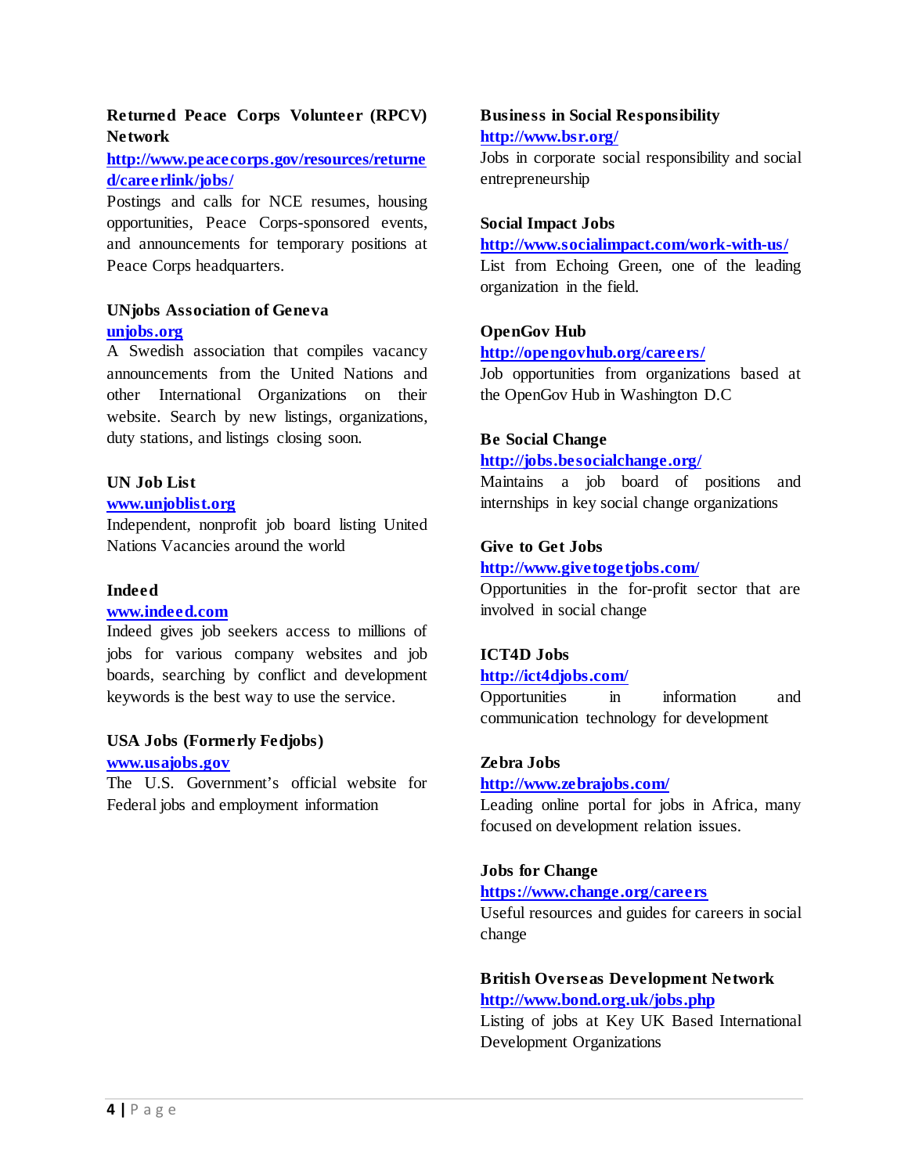### **Returned Peace Corps Volunteer (RPCV) Network**

### **[http://www.peacecorps.gov/resources/returne](http://www.peacecorps.gov/resources/returned/careerlink/jobs/) [d/careerlink/jobs/](http://www.peacecorps.gov/resources/returned/careerlink/jobs/)**

Postings and calls for NCE resumes, housing opportunities, Peace Corps-sponsored events, and announcements for temporary positions at Peace Corps headquarters.

### **UNjobs Association of Geneva [unjobs.org](http://unjobs.org/)**

A Swedish association that compiles vacancy announcements from the United Nations and other International Organizations on their website. Search by new listings, organizations, duty stations, and listings closing soon.

### **UN Job List**

#### **[www.unjoblist.org](http://www.unjoblist.org/)**

Independent, nonprofit job board listing United Nations Vacancies around the world

### **Indeed**

### **[www.indeed.com](http://www.indeed.com/)**

Indeed gives job seekers access to millions of jobs for various company websites and job boards, searching by conflict and development keywords is the best way to use the service.

#### **USA Jobs (Formerly Fedjobs)**

#### **[www.usajobs.gov](http://www.usajobs.gov/)**

The U.S. Government's official website for Federal jobs and employment information

### **Business in Social Responsibility <http://www.bsr.org/>**

Jobs in corporate social responsibility and social entrepreneurship

### **Social Impact Jobs**

#### **<http://www.socialimpact.com/work-with-us/>**

List from Echoing Green, one of the leading organization in the field.

### **OpenGov Hub**

### **[http://opengovhub.org/careers](http://opengovhub.org/careers/)/**

Job opportunities from organizations based at the OpenGov Hub in Washington D.C

### **Be Social Change**

#### **[http://jobs.besocialchange.org](http://jobs.besocialchange.org/)/**

Maintains a job board of positions and internships in key social change organizations

### **Give to Get Jobs**

#### **<http://www.givetogetjobs.com/>**

Opportunities in the for-profit sector that are involved in social change

### **ICT4D Jobs**

#### **<http://ict4djobs.com/>**

Opportunities in information and communication technology for development

#### **Zebra Jobs**

### **<http://www.zebrajobs.com/>**

Leading online portal for jobs in Africa, many focused on development relation issues.

#### **Jobs for Change**

#### **<https://www.change.org/careers>**

Useful resources and guides for careers in social change

### **British Overseas Development Network <http://www.bond.org.uk/jobs.php>**

Listing of jobs at Key UK Based International Development Organizations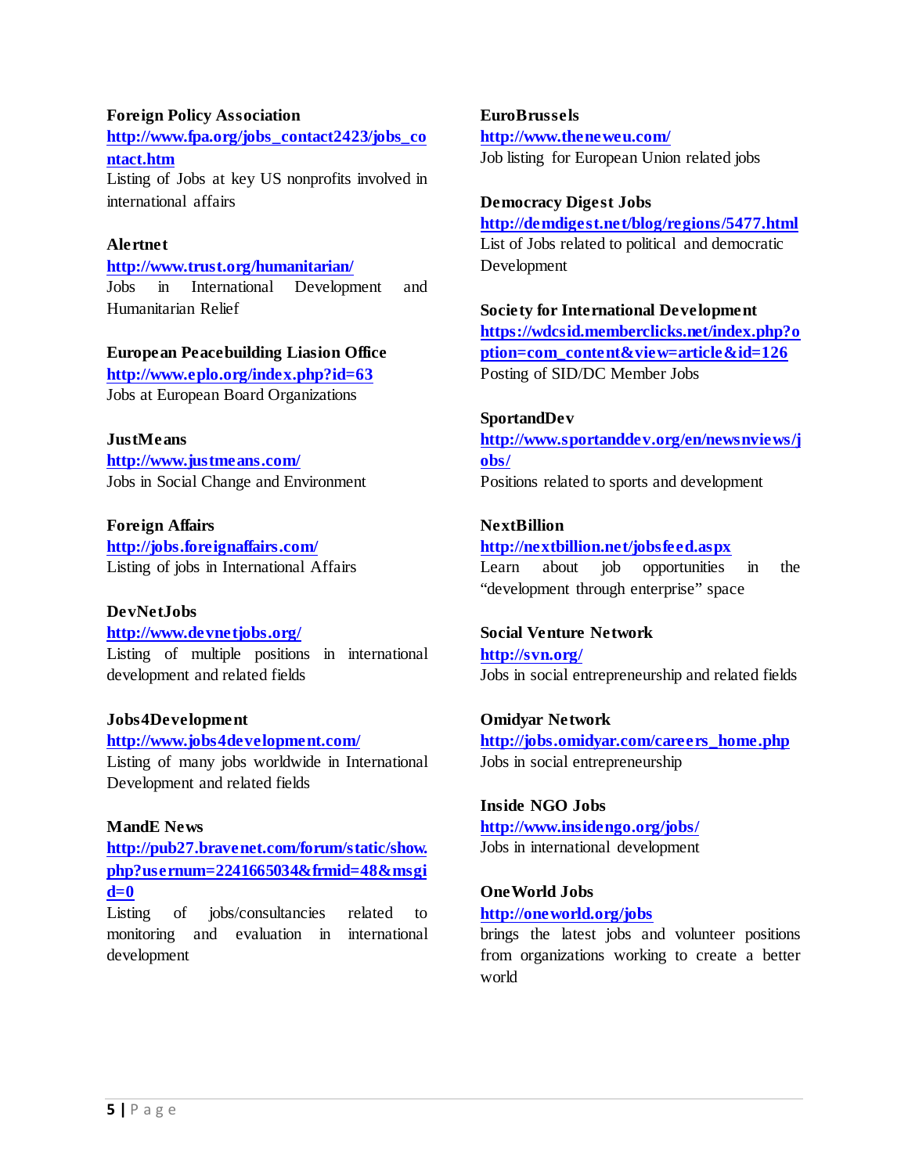#### **Foreign Policy Association**

**[http://www.fpa.org/jobs\\_contact2423/jobs\\_co](http://www.fpa.org/jobs_contact2423/jobs_contact.htm) [ntact.htm](http://www.fpa.org/jobs_contact2423/jobs_contact.htm)** Listing of Jobs at key US nonprofits involved in

international affairs

### **Alertnet**

**<http://www.trust.org/humanitarian/>** Jobs in International Development and Humanitarian Relief

#### **European Peacebuilding Liasion Office**

**<http://www.eplo.org/index.php?id=63>** Jobs at European Board Organizations

#### **JustMeans**

**<http://www.justmeans.com/>** Jobs in Social Change and Environment

**Foreign Affairs <http://jobs.foreignaffairs.com/>** Listing of jobs in International Affairs

#### **DevNetJobs**

**<http://www.devnetjobs.org/>** Listing of multiple positions in international development and related fields

#### **Jobs4Development**

**<http://www.jobs4development.com/>**

Listing of many jobs worldwide in International Development and related fields

### **MandE News**

**[http://pub27.bravenet.com/forum/static/show.](http://pub27.bravenet.com/forum/static/show.php?usernum=2241665034&frmid=48&msgid=0) [php?usernum=2241665034&frmid=48&msgi](http://pub27.bravenet.com/forum/static/show.php?usernum=2241665034&frmid=48&msgid=0) [d=0](http://pub27.bravenet.com/forum/static/show.php?usernum=2241665034&frmid=48&msgid=0)**

Listing of jobs/consultancies related to monitoring and evaluation in international development

**EuroBrussels <http://www.theneweu.com/>** Job listing for European Union related jobs

#### **Democracy Digest Jobs**

**[http://demdigest.net/blog/regions/5477.htm](http://demdigest.net/blog/regions/5477.html)l** List of Jobs related to political and democratic Development

**Society for International Development [https://wdcsid.memberclicks.net/index.php?o](https://wdcsid.memberclicks.net/index.php?option=com_content&view=article&id=126) [ption=com\\_content&view=article&id=12](https://wdcsid.memberclicks.net/index.php?option=com_content&view=article&id=126)6** Posting of SID/DC Member Jobs

#### **SportandDev**

**[http://www.sportanddev.org/en/newsnviews/j](http://www.sportanddev.org/en/newsnviews/jobs/) [obs/](http://www.sportanddev.org/en/newsnviews/jobs/)** Positions related to sports and development

### **NextBillion**

### **<http://nextbillion.net/jobsfeed.aspx>**

Learn about job opportunities in the "development through enterprise" space

#### **Social Venture Network**

**<http://svn.org/>** Jobs in social entrepreneurship and related fields

#### **Omidyar Network**

**[http://jobs.omidyar.com/careers\\_home.php](http://jobs.omidyar.com/careers_home.php)** Jobs in social entrepreneurship

### **Inside NGO Jobs**

**<http://www.insidengo.org/jobs/>** Jobs in international development

#### **OneWorld Jobs**

#### **<http://oneworld.org/jobs>**

brings the latest jobs and volunteer positions from organizations working to create a better world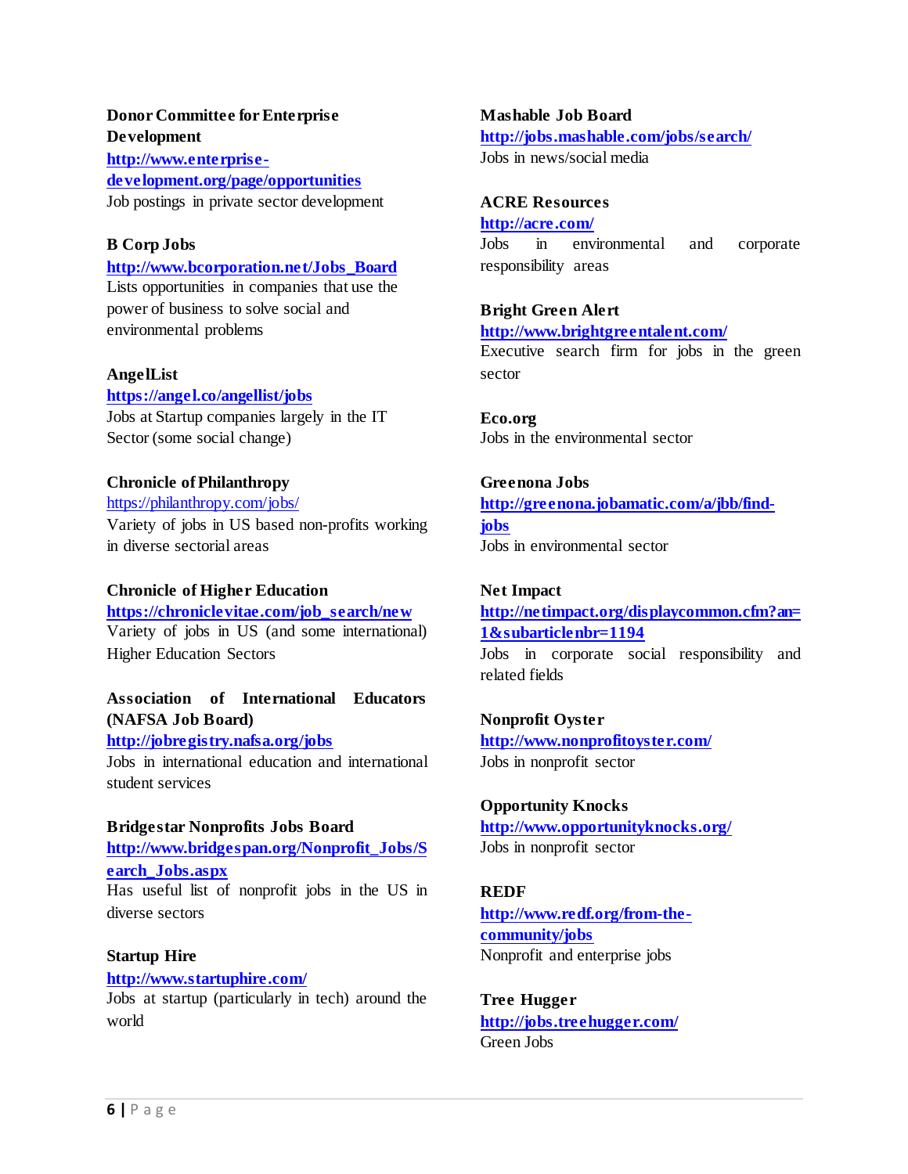### **Donor Committee for Enterprise Development**

**[http://www.enterprise](http://www.enterprise-development.org/page/opportunities)[development.org/page/opportunities](http://www.enterprise-development.org/page/opportunities)** Job postings in private sector development

### **B Corp Jobs**

**[http://www.bcorporation.net/Jobs\\_Board](http://www.bcorporation.net/Jobs_Board)** Lists opportunities in companies that use the power of business to solve social and environmental problems

#### **AngelList**

**<https://angel.co/angellist/jobs>** Jobs at Startup companies largely in the IT Sector (some social change)

#### **Chronicle of Philanthropy**

<https://philanthropy.com/jobs/> Variety of jobs in US based non-profits working in diverse sectorial areas

#### **Chronicle of Higher Education**

**[https://chroniclevitae.com/job\\_search/new](https://chroniclevitae.com/job_search/new)** Variety of jobs in US (and some international) Higher Education Sectors

### **Association of International Educators (NAFSA Job Board)**

#### **<http://jobregistry.nafsa.org/jobs>**

Jobs in international education and international student services

**Bridgestar Nonprofits Jobs Board [http://www.bridgespan.org/Nonprofit\\_Jobs/S](http://www.bridgespan.org/Nonprofit_Jobs/Search_Jobs.aspx) [earch\\_Jobs.aspx](http://www.bridgespan.org/Nonprofit_Jobs/Search_Jobs.aspx)** Has useful list of nonprofit jobs in the US in diverse sectors

### **Startup Hire <http://www.startuphire.com/>** Jobs at startup (particularly in tech) around the world

**Mashable Job Board <http://jobs.mashable.com/jobs/search/>** Jobs in news/social media

### **ACRE Resources**

#### **<http://acre.com/>**

Jobs in environmental and corporate responsibility areas

### **Bright Green Alert**

**<http://www.brightgreentalent.com/>**

Executive search firm for jobs in the green sector

**Eco.org** Jobs in the environmental sector

# **Greenona Jobs**

**[http://greenona.jobamatic.com/a/jbb/find](http://greenona.jobamatic.com/a/jbb/find-jobs)[jobs](http://greenona.jobamatic.com/a/jbb/find-jobs)**

Jobs in environmental sector

### **Net Impact**

**[http://netimpact.org/displaycommon.cfm?an=](http://netimpact.org/displaycommon.cfm?an=1&subarticlenbr=1194) [1&subarticlenbr=1194](http://netimpact.org/displaycommon.cfm?an=1&subarticlenbr=1194)** Jobs in corporate social responsibility and related fields

**Nonprofit Oyster <http://www.nonprofitoyster.com/>** Jobs in nonprofit sector

#### **Opportunity Knocks <http://www.opportunityknocks.org/>**

Jobs in nonprofit sector

### **REDF**

**[http://www.redf.org/from-the](http://www.redf.org/from-the-community/jobs)[community/jobs](http://www.redf.org/from-the-community/jobs)** Nonprofit and enterprise jobs

**Tree Hugger <http://jobs.treehugger.com/>** Green Jobs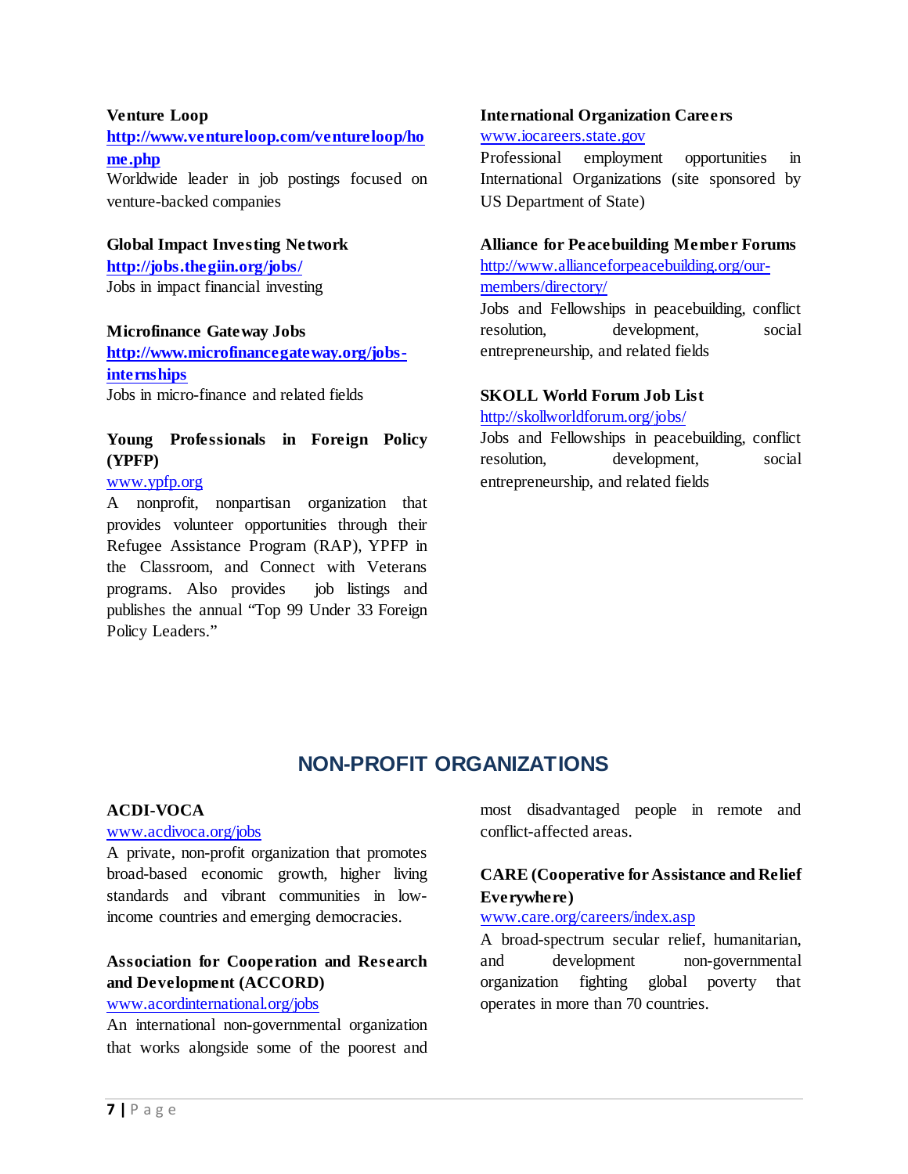#### **Venture Loop**

**[http://www.ventureloop.com/ventureloop/ho](http://www.ventureloop.com/ventureloop/home.php) [me.php](http://www.ventureloop.com/ventureloop/home.php)**

Worldwide leader in job postings focused on venture-backed companies

#### **Global Impact Investing Network**

**<http://jobs.thegiin.org/jobs/>** Jobs in impact financial investing

#### **Microfinance Gateway Jobs**

**[http://www.microfinancegateway.org/jobs](http://www.microfinancegateway.org/jobs-internships)[internships](http://www.microfinancegateway.org/jobs-internships)** Jobs in micro-finance and related fields

### **Young Professionals in Foreign Policy (YPFP)**

### [www.ypfp.org](http://www.ypfp.org/)

A nonprofit, nonpartisan organization that provides volunteer opportunities through their Refugee Assistance Program (RAP), YPFP in the Classroom, and Connect with Veterans programs. Also provides job listings and publishes the annual "Top 99 Under 33 Foreign Policy Leaders."

#### **International Organization Careers**

#### [www.iocareers.state.gov](http://www.iocareers.state.gov/)

Professional employment opportunities in International Organizations (site sponsored by US Department of State)

#### **Alliance for Peacebuilding Member Forums**

[http://www.allianceforpeacebuilding.org/our](http://www.allianceforpeacebuilding.org/our-members/directory/)[members/directory/](http://www.allianceforpeacebuilding.org/our-members/directory/)

Jobs and Fellowships in peacebuilding, conflict resolution, development, social entrepreneurship, and related fields

#### **SKOLL World Forum Job List**

<http://skollworldforum.org/jobs/>

Jobs and Fellowships in peacebuilding, conflict resolution, development, social entrepreneurship, and related fields

# **NON-PROFIT ORGANIZATIONS**

#### <span id="page-6-0"></span>**ACDI-VOCA**

#### [www.acdivoca.org/jobs](http://www.acdivoca.org/jobs)

A private, non-profit organization that promotes broad-based economic growth, higher living standards and vibrant communities in lowincome countries and emerging democracies.

### **Association for Cooperation and Research and Development (ACCORD)**

### [www.acordinternational.org/jobs](http://www.acordinternational.org/jobs)

An international non-governmental organization that works alongside some of the poorest and most disadvantaged people in remote and conflict-affected areas.

### **CARE (Cooperative for Assistance and Relief Everywhere)**

### [www.care.org/careers/index.asp](http://www.care.org/careers/index.asp)

A broad-spectrum secular relief, humanitarian, and development non-governmental organization fighting global poverty that operates in more than 70 countries.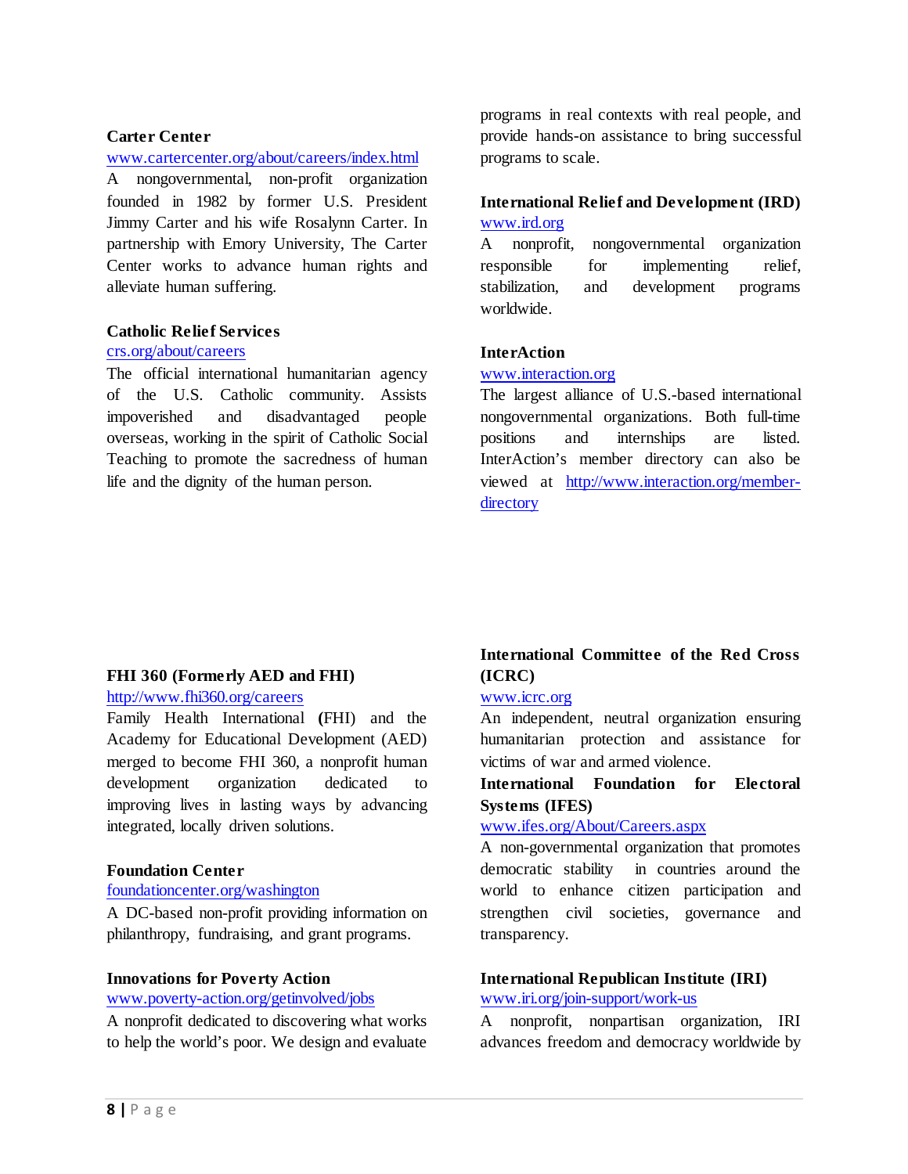#### **Carter Center**

#### [www.cartercenter.org/about/careers/index.html](http://www.cartercenter.org/about/careers/index.html)

A nongovernmental, non-profit organization founded in 1982 by former U.S. President Jimmy Carter and his wife Rosalynn Carter. In partnership with Emory University, The Carter Center works to advance human rights and alleviate human suffering.

#### **Catholic Relief Services**

#### [crs.org/about/careers](http://crs.org/about/careers)

The official international humanitarian agency of the U.S. Catholic community. Assists impoverished and disadvantaged people overseas, working in the spirit of Catholic Social Teaching to promote the sacredness of human life and the dignity of the human person.

programs in real contexts with real people, and provide hands-on assistance to bring successful programs to scale.

### **International Relief and Development (IRD)** [www.ird.org](http://www.ird.org/)

A nonprofit, nongovernmental organization responsible for implementing relief, stabilization, and development programs worldwide.

### **InterAction**

#### [www.interaction.org](http://www.interaction.org/)

The largest alliance of U.S.-based international nongovernmental organizations. Both full-time positions and internships are listed. InterAction's member directory can also be viewed at [http://www.interaction.org/member](http://www.interaction.org/member-directory)[directory](http://www.interaction.org/member-directory)

#### **FHI 360 (Formerly AED and FHI)**

### <http://www.fhi360.org/careers>

Family Health International **(**FHI) and the Academy for Educational Development (AED) merged to become FHI 360, a nonprofit human development organization dedicated to improving lives in lasting ways by advancing integrated, locally driven solutions.

#### **Foundation Center**

#### [foundationcenter.org/washington](http://foundationcenter.org/washington)

A DC-based non-profit providing information on philanthropy, fundraising, and grant programs.

#### **Innovations for Poverty Action**

#### [www.poverty-action.org/getinvolved/jobs](http://www.poverty-action.org/getinvolved/jobs)

A nonprofit dedicated to discovering what works to help the world's poor. We design and evaluate

### **International Committee of the Red Cross (ICRC)**

#### [www.icrc.org](http://www.icrc.org/)

An independent, neutral organization ensuring humanitarian protection and assistance for victims of war and armed violence.

### **International Foundation for Electoral Systems (IFES)**

#### [www.ifes.org/About/Careers.aspx](http://www.ifes.org/About/Careers.aspx)

A non-governmental organization that promotes democratic stability in countries around the world to enhance citizen participation and strengthen civil societies, governance and transparency.

### **International Republican Institute (IRI)**

#### [www.iri.org/join-support/work-us](http://www.iri.org/join-support/work-us)

A nonprofit, nonpartisan organization, IRI advances freedom and democracy worldwide by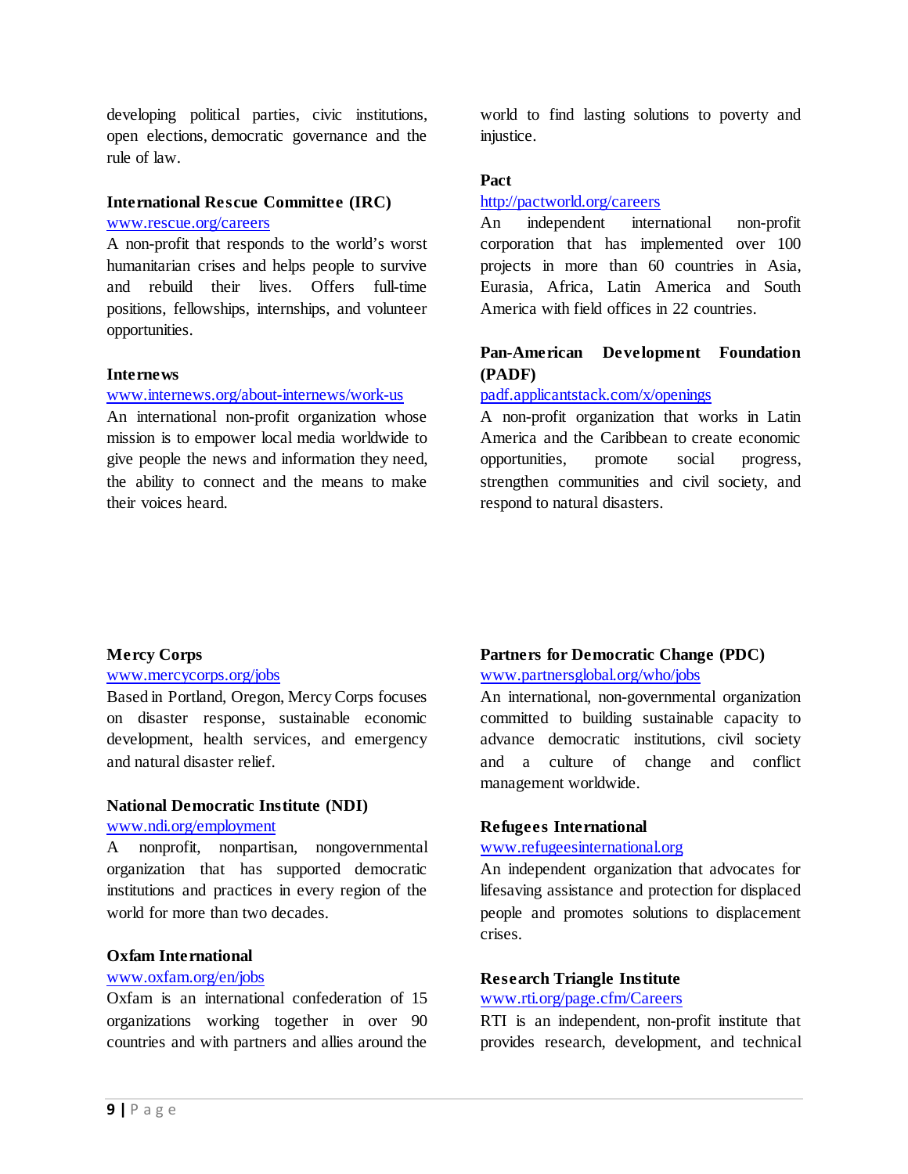developing political parties, civic institutions, open elections, democratic governance and the rule of law.

### **International Rescue Committee (IRC)** [www.rescue.org/careers](http://www.rescue.org/careers)

A non-profit that responds to the world's worst humanitarian crises and helps people to survive and rebuild their lives. Offers full-time positions, fellowships, internships, and volunteer opportunities.

#### **Internews**

#### [www.internews.org/about-internews/work-us](http://www.internews.org/about-internews/work-us)

An international non-profit organization whose mission is to empower local media worldwide to give people the news and information they need, the ability to connect and the means to make their voices heard.

world to find lasting solutions to poverty and injustice.

### **Pact**

#### <http://pactworld.org/careers>

An independent international non-profit corporation that has implemented over 100 projects in more than 60 countries in Asia, Eurasia, Africa, Latin America and South America with field offices in 22 countries.

### **Pan-American Development Foundation (PADF)**

### [padf.applicantstack.com/x/openings](http://padf.applicantstack.com/x/openings)

A non-profit organization that works in Latin America and the Caribbean to create economic opportunities, promote social progress, strengthen communities and civil society, and respond to natural disasters.

#### **Mercy Corps**

#### [www.mercycorps.org/jobs](http://www.mercycorps.org/jobs)

Based in Portland, Oregon, Mercy Corps focuses on disaster response, sustainable economic development, health services, and emergency and natural disaster relief.

# **National Democratic Institute (NDI)**

#### [www.ndi.org/employment](http://www.ndi.org/employment)

A nonprofit, nonpartisan, nongovernmental organization that has supported democratic institutions and practices in every region of the world for more than two decades.

### **Oxfam International**

### [www.oxfam.org/en/jobs](http://www.oxfam.org/en/jobs)

Oxfam is an international confederation of 15 organizations working together in over 90 countries and with partners and allies around the

### **Partners for Democratic Change (PDC)**

[www.partnersglobal.org/who/jobs](http://www.partnersglobal.org/who/jobs)

An international, non-governmental organization committed to building sustainable capacity to advance democratic institutions, civil society and a culture of change and conflict management worldwide.

#### **Refugees International**

### [www.refugeesinternational.org](http://www.refugeesinternational.org/)

An independent organization that advocates for lifesaving assistance and protection for displaced people and promotes solutions to displacement crises.

#### **Research Triangle Institute**

#### [www.rti.org/page.cfm/Careers](http://www.rti.org/page.cfm/Careers)

RTI is an independent, non-profit institute that provides research, development, and technical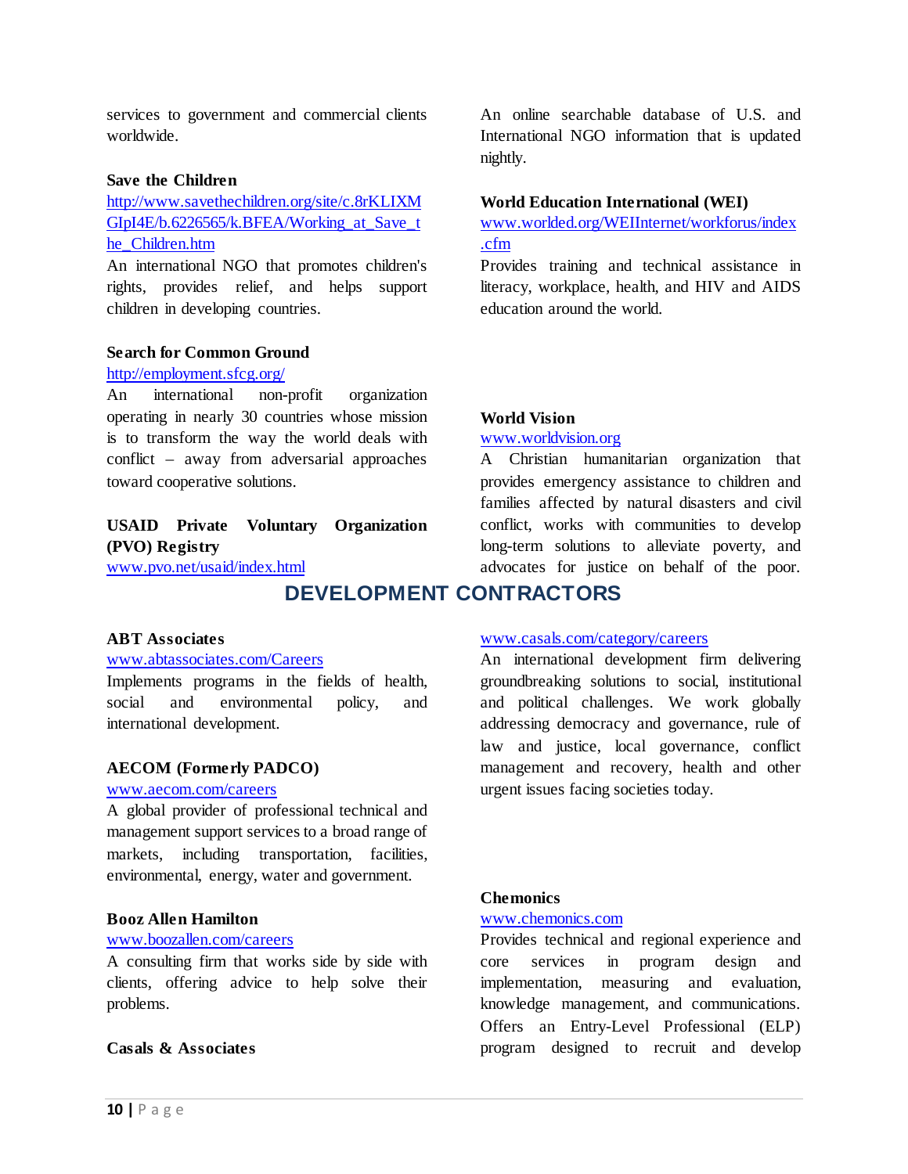services to government and commercial clients worldwide.

#### **Save the Children**

[http://www.savethechildren.org/site/c.8rKLIXM](http://www.savethechildren.org/site/c.8rKLIXMGIpI4E/b.6226565/k.BFEA/Working_at_Save_the_Children.htm) GIpI4E/b.6226565/k.BFEA/Working at Save t [he\\_Children.htm](http://www.savethechildren.org/site/c.8rKLIXMGIpI4E/b.6226565/k.BFEA/Working_at_Save_the_Children.htm)

An international NGO that promotes children's rights, provides relief, and helps support children in developing countries.

#### **Search for Common Ground**

#### <http://employment.sfcg.org/>

An international non-profit organization operating in nearly 30 countries whose mission is to transform the way the world deals with conflict – away from adversarial approaches toward cooperative solutions.

### **USAID Private Voluntary Organization (PVO) Registry**

<span id="page-9-0"></span>[www.pvo.net/usaid/index.html](http://www.pvo.net/usaid/index.html)

# **DEVELOPMENT CONTRACTORS**

#### **ABT Associates**

#### [www.abtassociates.com/Careers](http://www.abtassociates.com/Careers)

Implements programs in the fields of health, social and environmental policy, and international development.

#### **AECOM (Formerly PADCO)**

### [www.aecom.com/careers](http://www.aecom.com/careers)

A global provider of professional technical and management support services to a broad range of markets, including transportation, facilities, environmental, energy, water and government.

#### **Booz Allen Hamilton**

#### [www.boozallen.com/careers](http://www.boozallen.com/careers)

A consulting firm that works side by side with clients, offering advice to help solve their problems.

#### **Casals & Associates**

An online searchable database of U.S. and International NGO information that is updated nightly.

#### **World Education International (WEI)**

[www.worlded.org/WEIInternet/workforus/index](http://www.worlded.org/WEIInternet/workforus/index.cfm) [.cfm](http://www.worlded.org/WEIInternet/workforus/index.cfm)

Provides training and technical assistance in literacy, workplace, health, and HIV and AIDS education around the world.

#### **World Vision**

#### [www.worldvision.org](http://www.worldvision.org/)

A Christian humanitarian organization that provides emergency assistance to children and families affected by natural disasters and civil conflict, works with communities to develop long-term solutions to alleviate poverty, and advocates for justice on behalf of the poor.

#### [www.casals.com/category/careers](http://www.casals.com/category/careers)

An international development firm delivering groundbreaking solutions to social, institutional and political challenges. We work globally addressing democracy and governance, rule of law and justice, local governance, conflict management and recovery, health and other urgent issues facing societies today.

### **Chemonics**

#### [www.chemonics.com](http://www.chemonics.com/)

Provides technical and regional experience and core services in program design and implementation, measuring and evaluation, knowledge management, and communications. Offers an Entry-Level Professional (ELP) program designed to recruit and develop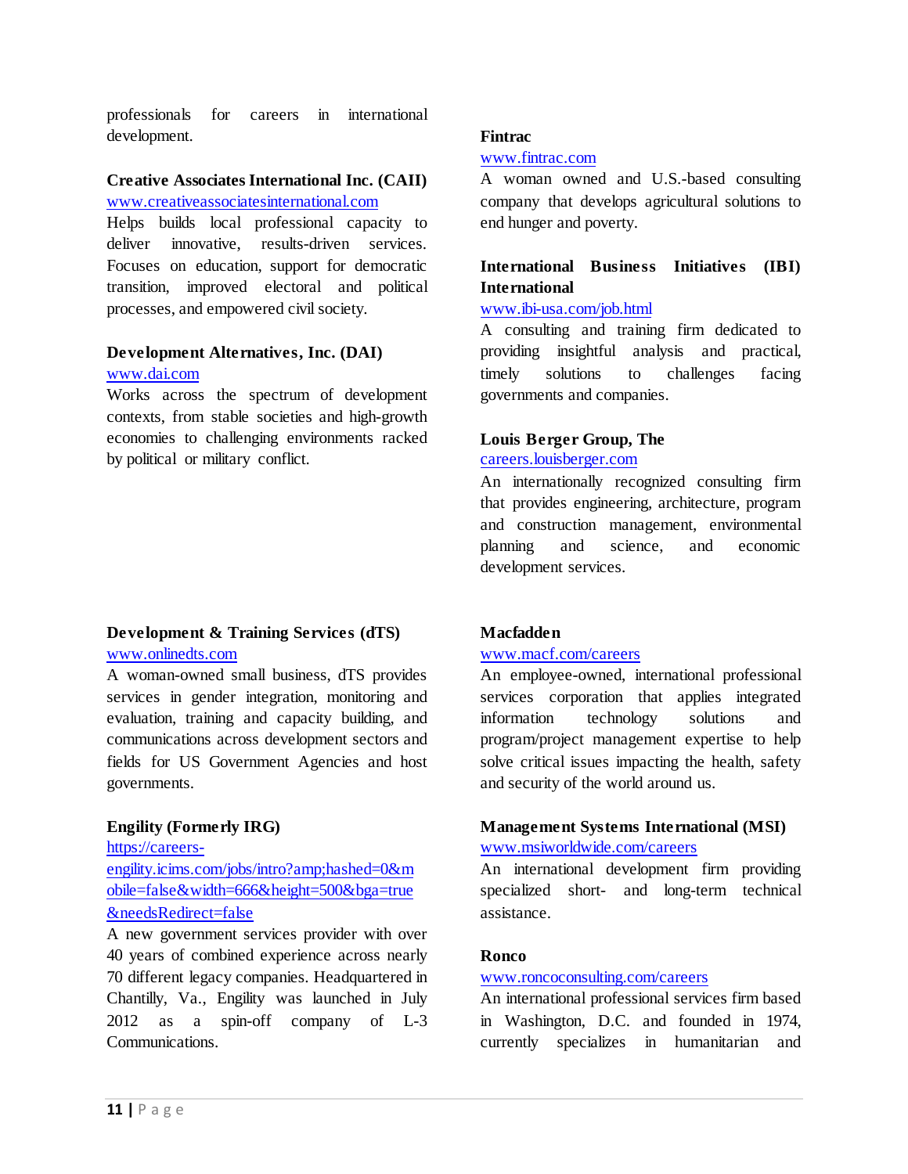professionals for careers in international development.

### **Creative Associates International Inc. (CAII)** [www.creativeassociatesinternational.com](http://www.creativeassociatesinternational.com/)

Helps builds local professional capacity to deliver innovative, results-driven services. Focuses on education, support for democratic transition, improved electoral and political processes, and empowered civil society.

#### **Development Alternatives, Inc. (DAI)** [www.dai.com](http://www.dai.com/)

Works across the spectrum of development contexts, from stable societies and high-growth economies to challenging environments racked by political or military conflict.

### **Development & Training Services (dTS)** [www.onlinedts.com](http://www.onlinedts.com/)

A woman-owned small business, dTS provides services in gender integration, monitoring and evaluation, training and capacity building, and communications across development sectors and fields for US Government Agencies and host governments.

### **Engility (Formerly IRG)**

[https://careers-](https://careers-engility.icims.com/jobs/intro?amp;hashed=0&mobile=false&width=666&height=500&bga=true&needsRedirect=false)

[engility.icims.com/jobs/intro?amp;hashed=0&m](https://careers-engility.icims.com/jobs/intro?amp;hashed=0&mobile=false&width=666&height=500&bga=true&needsRedirect=false) [obile=false&width=666&height=500&bga=true](https://careers-engility.icims.com/jobs/intro?amp;hashed=0&mobile=false&width=666&height=500&bga=true&needsRedirect=false) [&needsRedirect=false](https://careers-engility.icims.com/jobs/intro?amp;hashed=0&mobile=false&width=666&height=500&bga=true&needsRedirect=false)

A new government services provider with over 40 years of combined experience across nearly 70 different legacy companies. Headquartered in Chantilly, Va., Engility was launched in July 2012 as a spin-off company of L-3 Communications.

### **Fintrac**

### [www.fintrac.com](http://www.fintrac.com/)

A woman owned and U.S.-based consulting company that develops agricultural solutions to end hunger and poverty.

### **International Business Initiatives (IBI) International**

### [www.ibi-usa.com/job.html](http://www.ibi-usa.com/job.html)

A consulting and training firm dedicated to providing insightful analysis and practical, timely solutions to challenges facing governments and companies.

### **Louis Berger Group, The**

### [careers.louisberger.com](http://careers.louisberger.com/)

An internationally recognized consulting firm that provides engineering, architecture, program and construction management, environmental planning and science, and economic development services.

### **Macfadden**

### [www.macf.com/careers](http://www.macf.com/careers)

An employee-owned, international professional services corporation that applies integrated information technology solutions and program/project management expertise to help solve critical issues impacting the health, safety and security of the world around us.

### **Management Systems International (MSI)** [www.msiworldwide.com/careers](http://www.msiworldwide.com/careers)

An international development firm providing specialized short- and long-term technical assistance.

### **Ronco**

### [www.roncoconsulting.com/careers](http://www.roncoconsulting.com/careers)

An international professional services firm based in Washington, D.C. and founded in 1974, currently specializes in humanitarian and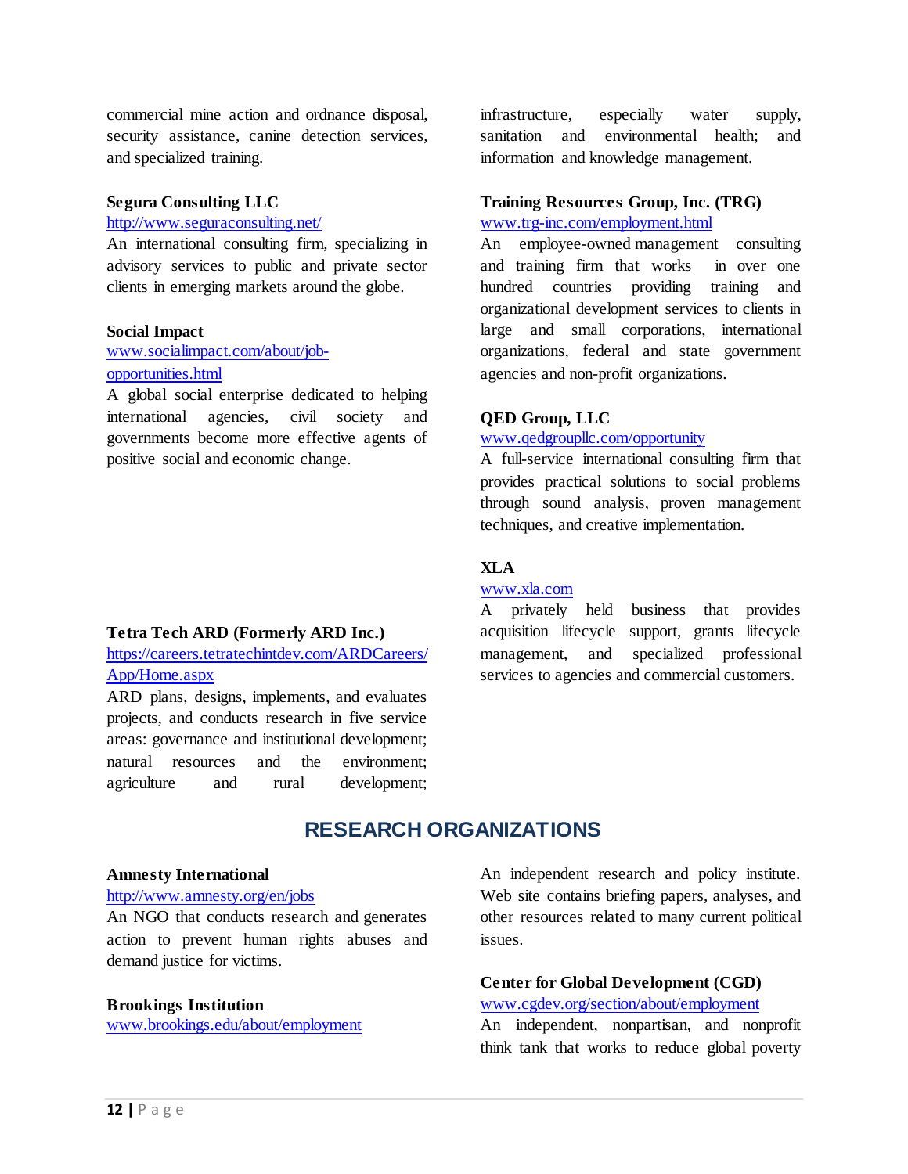commercial mine action and ordnance disposal, security assistance, canine detection services, and specialized training.

#### **Segura Consulting LLC**

#### <http://www.seguraconsulting.net/>

An international consulting firm, specializing in advisory services to public and private sector clients in emerging markets around the globe.

#### **Social Impact**

### [www.socialimpact.com/about/job](http://www.socialimpact.com/about/job-opportunities.html)[opportunities.html](http://www.socialimpact.com/about/job-opportunities.html)

A global social enterprise dedicated to helping international agencies, civil society and governments become more effective agents of positive social and economic change.

#### **Tetra Tech ARD (Formerly ARD Inc.)**

[https://careers.tetratechintdev.com/ARDCareers/](https://careers.tetratechintdev.com/ARDCareers/App/Home.aspx) [App/Home.aspx](https://careers.tetratechintdev.com/ARDCareers/App/Home.aspx)

ARD plans, designs, implements, and evaluates projects, and conducts research in five service areas: governance and institutional development; natural resources and the environment; agriculture and rural development;

infrastructure, especially water supply, sanitation and environmental health; and information and knowledge management.

### **Training Resources Group, Inc. (TRG)** [www.trg-inc.com/employment.html](http://www.trg-inc.com/employment.html)

An employee-owned management consulting and training firm that works in over one hundred countries providing training and organizational development services to clients in large and small corporations, international organizations, federal and state government agencies and non-profit organizations.

#### **QED Group, LLC**

#### [www.qedgroupllc.com/opportunity](http://www.qedgroupllc.com/opportunity)

A full-service international consulting firm that provides practical solutions to social problems through sound analysis, proven management techniques, and creative implementation.

### **XLA**

#### [www.xla.com](http://www.xla.com/)

A privately held business that provides acquisition lifecycle support, grants lifecycle management, and specialized professional services to agencies and commercial customers.

# **RESEARCH ORGANIZATIONS**

#### <span id="page-11-0"></span>**Amnesty International**

#### <http://www.amnesty.org/en/jobs>

An NGO that conducts research and generates action to prevent human rights abuses and demand justice for victims.

#### **Brookings Institution**

[www.brookings.edu/about/employment](http://www.brookings.edu/about/employment)

An independent research and policy institute. Web site contains briefing papers, analyses, and other resources related to many current political issues.

# **Center for Global Development (CGD)**

# [www.cgdev.org/section/about/employment](http://www.cgdev.org/section/about/employment)

An independent, nonpartisan, and nonprofit think tank that works to reduce global poverty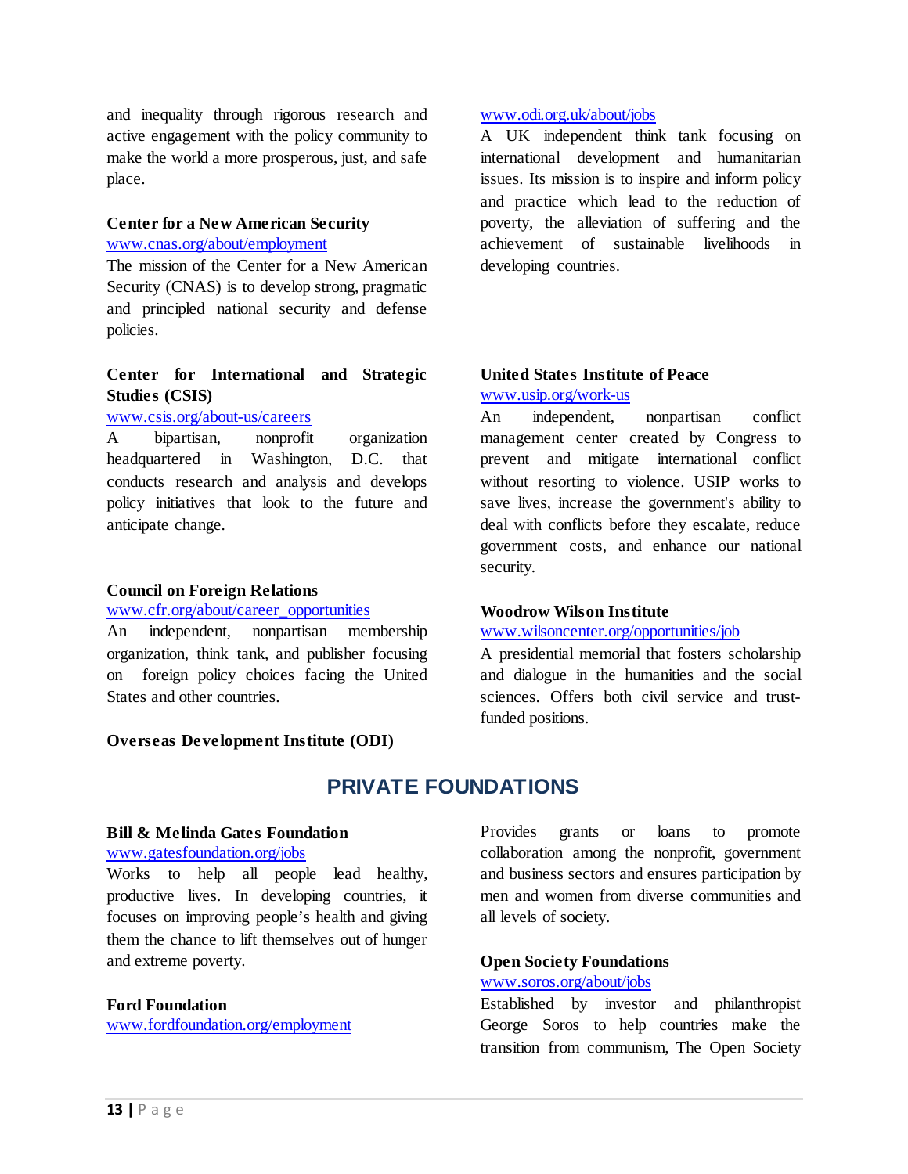and inequality through rigorous research and active engagement with the policy community to make the world a more prosperous, just, and safe place.

# **Center for a New American Security**

[www.cnas.org/about/employment](http://www.cnas.org/about/employment)

The mission of the Center for a New American Security (CNAS) is to develop strong, pragmatic and principled national security and defense policies.

### **Center for International and Strategic Studies (CSIS)**

### [www.csis.org/about-us/careers](http://www.csis.org/about-us/careers)

A bipartisan, nonprofit organization headquartered in Washington, D.C. that conducts research and analysis and develops policy initiatives that look to the future and anticipate change.

### **Council on Foreign Relations**

### [www.cfr.org/about/career\\_opportunities](http://www.cfr.org/about/career_opportunities/)

An independent, nonpartisan membership organization, think tank, and publisher focusing on foreign policy choices facing the United States and other countries.

### <span id="page-12-0"></span>**Overseas Development Institute (ODI)**

### [www.odi.org.uk/about/jobs](http://www.odi.org.uk/about/jobs)

A UK independent think tank focusing on international development and humanitarian issues. Its mission is to inspire and inform policy and practice which lead to the reduction of poverty, the alleviation of suffering and the achievement of sustainable livelihoods in developing countries.

### **United States Institute of Peace** [www.usip.org/work-us](http://www.usip.org/work-us)

An independent, nonpartisan conflict management center created by Congress to prevent and mitigate international conflict without resorting to violence. USIP works to save lives, increase the government's ability to deal with conflicts before they escalate, reduce government costs, and enhance our national security.

### **Woodrow Wilson Institute**

#### [www.wilsoncenter.org/opportunities/job](http://www.wilsoncenter.org/opportunities/job)

A presidential memorial that fosters scholarship and dialogue in the humanities and the social sciences. Offers both civil service and trustfunded positions.

# **PRIVATE FOUNDATIONS**

#### **Bill & Melinda Gates Foundation**

#### [www.gatesfoundation.org/jobs](http://www.gatesfoundation.org/jobs)

Works to help all people lead healthy, productive lives. In developing countries, it focuses on improving people's health and giving them the chance to lift themselves out of hunger and extreme poverty.

#### **Ford Foundation**

[www.fordfoundation.org/employment](http://www.fordfoundation.org/employment)

Provides grants or loans to promote collaboration among the nonprofit, government and business sectors and ensures participation by men and women from diverse communities and all levels of society.

### **Open Society Foundations** [www.soros.org/about/jobs](http://www.soros.org/about/jobs)

Established by investor and philanthropist George Soros to help countries make the transition from communism, The Open Society